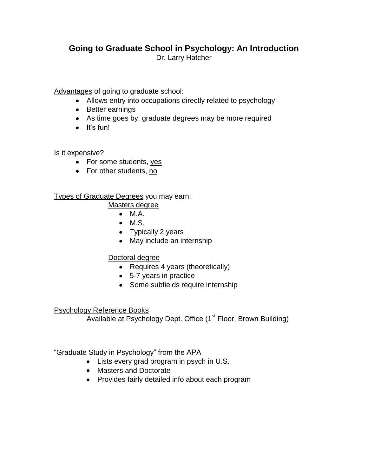# **Going to Graduate School in Psychology: An Introduction** Dr. Larry Hatcher

Advantages of going to graduate school:

- Allows entry into occupations directly related to psychology
- Better earnings
- As time goes by, graduate degrees may be more required
- $\bullet$  It's fun!

Is it expensive?

- For some students, yes
- For other students, no

## Types of Graduate Degrees you may earn:

- Masters degree
	- $\bullet$  M.A.
	- $\bullet$  M.S.
	- Typically 2 years
	- May include an internship

# Doctoral degree

- Requires 4 years (theoretically)
- 5-7 years in practice
- Some subfields require internship

## Psychology Reference Books

Available at Psychology Dept. Office (1<sup>st</sup> Floor, Brown Building)

# "Graduate Study in Psychology" from the APA

- Lists every grad program in psych in U.S.
- Masters and Doctorate
- Provides fairly detailed info about each program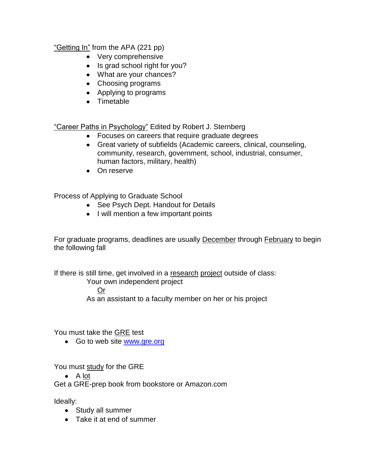"Getting In" from the APA (221 pp)

- Very comprehensive
- Is grad school right for you?
- What are your chances?
- Choosing programs
- Applying to programs
- Timetable

"Career Paths in Psychology" Edited by Robert J. Sternberg

- Focuses on careers that require graduate degrees
- Great variety of subfields (Academic careers, clinical, counseling, community, research, government, school, industrial, consumer, human factors, military, health)
- On reserve

Process of Applying to Graduate School

- See Psych Dept. Handout for Details
- I will mention a few important points

For graduate programs, deadlines are usually **December** through **February** to begin the following fall

If there is still time, get involved in a research project outside of class:

Your own independent project

Or

As an assistant to a faculty member on her or his project

You must take the GRE test

• Go to web site [www.gre.org](http://www.gre.org/)

You must study for the GRE

 $\bullet$  A lot

Get a GRE-prep book from bookstore or Amazon.com

Ideally:

- Study all summer
- Take it at end of summer